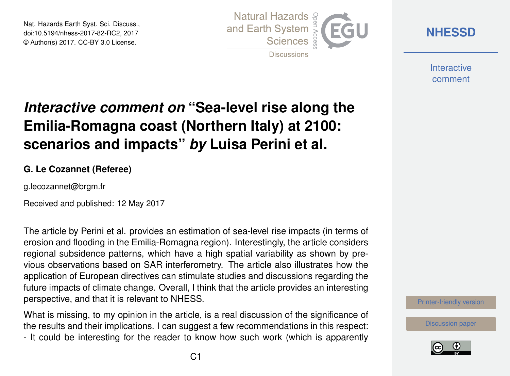Nat. Hazards Earth Syst. Sci. Discuss., doi:10.5194/nhess-2017-82-RC2, 2017 © Author(s) 2017. CC-BY 3.0 License.



**[NHESSD](http://www.nat-hazards-earth-syst-sci-discuss.net/)**

**Interactive** comment

# *Interactive comment on* **"Sea-level rise along the Emilia-Romagna coast (Northern Italy) at 2100: scenarios and impacts"** *by* **Luisa Perini et al.**

#### **G. Le Cozannet (Referee)**

g.lecozannet@brgm.fr

Received and published: 12 May 2017

The article by Perini et al. provides an estimation of sea-level rise impacts (in terms of erosion and flooding in the Emilia-Romagna region). Interestingly, the article considers regional subsidence patterns, which have a high spatial variability as shown by previous observations based on SAR interferometry. The article also illustrates how the application of European directives can stimulate studies and discussions regarding the future impacts of climate change. Overall, I think that the article provides an interesting perspective, and that it is relevant to NHESS.

What is missing, to my opinion in the article, is a real discussion of the significance of the results and their implications. I can suggest a few recommendations in this respect: - It could be interesting for the reader to know how such work (which is apparently

[Printer-friendly version](http://www.nat-hazards-earth-syst-sci-discuss.net/nhess-2017-82/nhess-2017-82-RC2-print.pdf)

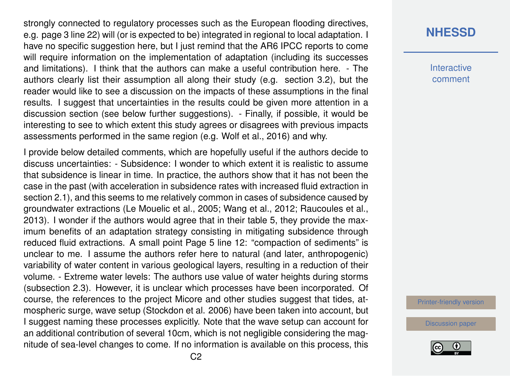strongly connected to regulatory processes such as the European flooding directives, e.g. page 3 line 22) will (or is expected to be) integrated in regional to local adaptation. I have no specific suggestion here, but I just remind that the AR6 IPCC reports to come will require information on the implementation of adaptation (including its successes and limitations). I think that the authors can make a useful contribution here. - The authors clearly list their assumption all along their study (e.g. section 3.2), but the reader would like to see a discussion on the impacts of these assumptions in the final results. I suggest that uncertainties in the results could be given more attention in a discussion section (see below further suggestions). - Finally, if possible, it would be interesting to see to which extent this study agrees or disagrees with previous impacts assessments performed in the same region (e.g. Wolf et al., 2016) and why.

I provide below detailed comments, which are hopefully useful if the authors decide to discuss uncertainties: - Subsidence: I wonder to which extent it is realistic to assume that subsidence is linear in time. In practice, the authors show that it has not been the case in the past (with acceleration in subsidence rates with increased fluid extraction in section 2.1), and this seems to me relatively common in cases of subsidence caused by groundwater extractions (Le Mouelic et al., 2005; Wang et al., 2012; Raucoules et al., 2013). I wonder if the authors would agree that in their table 5, they provide the maximum benefits of an adaptation strategy consisting in mitigating subsidence through reduced fluid extractions. A small point Page 5 line 12: "compaction of sediments" is unclear to me. I assume the authors refer here to natural (and later, anthropogenic) variability of water content in various geological layers, resulting in a reduction of their volume. - Extreme water levels: The authors use value of water heights during storms (subsection 2.3). However, it is unclear which processes have been incorporated. Of course, the references to the project Micore and other studies suggest that tides, atmospheric surge, wave setup (Stockdon et al. 2006) have been taken into account, but I suggest naming these processes explicitly. Note that the wave setup can account for an additional contribution of several 10cm, which is not negligible considering the magnitude of sea-level changes to come. If no information is available on this process, this

# **[NHESSD](http://www.nat-hazards-earth-syst-sci-discuss.net/)**

**Interactive** comment

[Printer-friendly version](http://www.nat-hazards-earth-syst-sci-discuss.net/nhess-2017-82/nhess-2017-82-RC2-print.pdf)

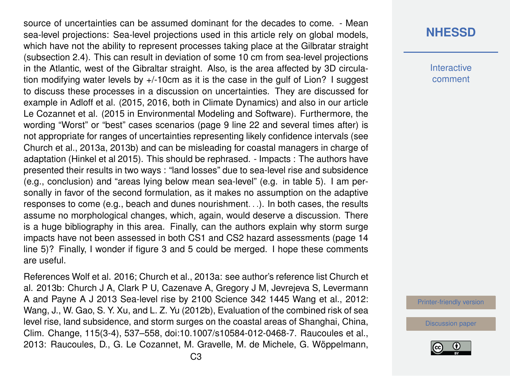source of uncertainties can be assumed dominant for the decades to come. - Mean sea-level projections: Sea-level projections used in this article rely on global models, which have not the ability to represent processes taking place at the Gilbratar straight (subsection 2.4). This can result in deviation of some 10 cm from sea-level projections in the Atlantic, west of the Gibraltar straight. Also, is the area affected by 3D circulation modifying water levels by +/-10cm as it is the case in the gulf of Lion? I suggest to discuss these processes in a discussion on uncertainties. They are discussed for example in Adloff et al. (2015, 2016, both in Climate Dynamics) and also in our article Le Cozannet et al. (2015 in Environmental Modeling and Software). Furthermore, the wording "Worst" or "best" cases scenarios (page 9 line 22 and several times after) is not appropriate for ranges of uncertainties representing likely confidence intervals (see Church et al., 2013a, 2013b) and can be misleading for coastal managers in charge of adaptation (Hinkel et al 2015). This should be rephrased. - Impacts : The authors have presented their results in two ways : "land losses" due to sea-level rise and subsidence (e.g., conclusion) and "areas lying below mean sea-level" (e.g. in table 5). I am personally in favor of the second formulation, as it makes no assumption on the adaptive responses to come (e.g., beach and dunes nourishment. . .). In both cases, the results assume no morphological changes, which, again, would deserve a discussion. There is a huge bibliography in this area. Finally, can the authors explain why storm surge impacts have not been assessed in both CS1 and CS2 hazard assessments (page 14 line 5)? Finally, I wonder if figure 3 and 5 could be merged. I hope these comments are useful.

References Wolf et al. 2016; Church et al., 2013a: see author's reference list Church et al. 2013b: Church J A, Clark P U, Cazenave A, Gregory J M, Jevrejeva S, Levermann A and Payne A J 2013 Sea-level rise by 2100 Science 342 1445 Wang et al., 2012: Wang, J., W. Gao, S. Y. Xu, and L. Z. Yu (2012b), Evaluation of the combined risk of sea level rise, land subsidence, and storm surges on the coastal areas of Shanghai, China, Clim. Change, 115(3-4), 537–558, doi:10.1007/s10584-012-0468-7. Raucoules et al., 2013: Raucoules, D., G. Le Cozannet, M. Gravelle, M. de Michele, G. Wöppelmann,

## **[NHESSD](http://www.nat-hazards-earth-syst-sci-discuss.net/)**

**Interactive** comment

[Printer-friendly version](http://www.nat-hazards-earth-syst-sci-discuss.net/nhess-2017-82/nhess-2017-82-RC2-print.pdf)